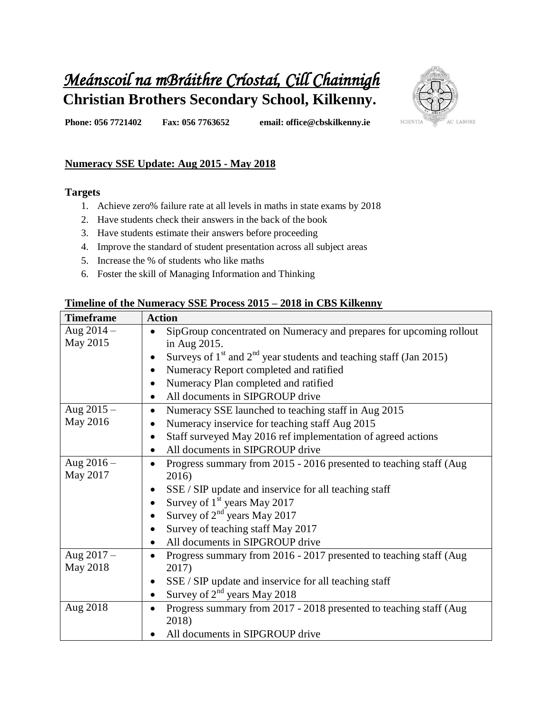# *Meánscoil na mBráithre Críostaí, Cill Chainnigh*  **Christian Brothers Secondary School, Kilkenny.**



**Phone: 056 7721402 Fax: 056 7763652 email: office@cbskilkenny.ie** 

## **Numeracy SSE Update: Aug 2015 - May 2018**

#### **Targets**

- 1. Achieve zero% failure rate at all levels in maths in state exams by 2018
- 2. Have students check their answers in the back of the book
- 3. Have students estimate their answers before proceeding
- 4. Improve the standard of student presentation across all subject areas
- 5. Increase the % of students who like maths
- 6. Foster the skill of Managing Information and Thinking

## **Timeline of the Numeracy SSE Process 2015 – 2018 in CBS Kilkenny**

| <b>Timeframe</b> | <b>Action</b>                                                                       |  |  |
|------------------|-------------------------------------------------------------------------------------|--|--|
| Aug $2014 -$     | SipGroup concentrated on Numeracy and prepares for upcoming rollout                 |  |  |
| May 2015         | in Aug 2015.                                                                        |  |  |
|                  | Surveys of $1st$ and $2nd$ year students and teaching staff (Jan 2015)<br>$\bullet$ |  |  |
|                  | Numeracy Report completed and ratified<br>$\bullet$                                 |  |  |
|                  | Numeracy Plan completed and ratified<br>$\bullet$                                   |  |  |
|                  | All documents in SIPGROUP drive<br>٠                                                |  |  |
| Aug $2015 -$     | Numeracy SSE launched to teaching staff in Aug 2015<br>$\bullet$                    |  |  |
| May 2016         | Numeracy inservice for teaching staff Aug 2015                                      |  |  |
|                  | Staff surveyed May 2016 ref implementation of agreed actions<br>$\bullet$           |  |  |
|                  | All documents in SIPGROUP drive<br>$\bullet$                                        |  |  |
| Aug $2016 -$     | Progress summary from 2015 - 2016 presented to teaching staff (Aug<br>$\bullet$     |  |  |
| May 2017         | 2016)                                                                               |  |  |
|                  | SSE / SIP update and inservice for all teaching staff                               |  |  |
|                  | Survey of 1 <sup>st</sup> years May 2017                                            |  |  |
|                  | Survey of $2nd$ years May 2017                                                      |  |  |
|                  | Survey of teaching staff May 2017                                                   |  |  |
|                  | All documents in SIPGROUP drive<br>٠                                                |  |  |
| Aug $2017 -$     | Progress summary from 2016 - 2017 presented to teaching staff (Aug<br>$\bullet$     |  |  |
| May 2018         | 2017)                                                                               |  |  |
|                  | SSE / SIP update and inservice for all teaching staff<br>$\bullet$                  |  |  |
|                  | Survey of $2nd$ years May 2018<br>$\bullet$                                         |  |  |
| Aug 2018         | Progress summary from 2017 - 2018 presented to teaching staff (Aug<br>٠             |  |  |
|                  | 2018)                                                                               |  |  |
|                  | All documents in SIPGROUP drive                                                     |  |  |